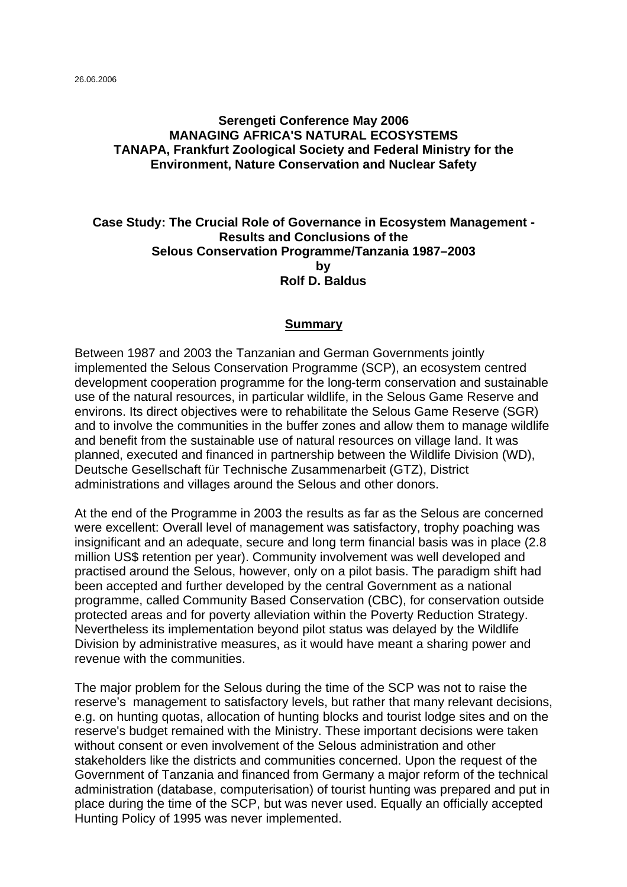26.06.2006

### **Serengeti Conference May 2006 MANAGING AFRICA'S NATURAL ECOSYSTEMS TANAPA, Frankfurt Zoological Society and Federal Ministry for the Environment, Nature Conservation and Nuclear Safety**

### **Case Study: The Crucial Role of Governance in Ecosystem Management - Results and Conclusions of the Selous Conservation Programme/Tanzania 1987–2003 by Rolf D. Baldus**

### **Summary**

Between 1987 and 2003 the Tanzanian and German Governments jointly implemented the Selous Conservation Programme (SCP), an ecosystem centred development cooperation programme for the long-term conservation and sustainable use of the natural resources, in particular wildlife, in the Selous Game Reserve and environs. Its direct objectives were to rehabilitate the Selous Game Reserve (SGR) and to involve the communities in the buffer zones and allow them to manage wildlife and benefit from the sustainable use of natural resources on village land. It was planned, executed and financed in partnership between the Wildlife Division (WD), Deutsche Gesellschaft für Technische Zusammenarbeit (GTZ), District administrations and villages around the Selous and other donors.

At the end of the Programme in 2003 the results as far as the Selous are concerned were excellent: Overall level of management was satisfactory, trophy poaching was insignificant and an adequate, secure and long term financial basis was in place (2.8 million US\$ retention per year). Community involvement was well developed and practised around the Selous, however, only on a pilot basis. The paradigm shift had been accepted and further developed by the central Government as a national programme, called Community Based Conservation (CBC), for conservation outside protected areas and for poverty alleviation within the Poverty Reduction Strategy. Nevertheless its implementation beyond pilot status was delayed by the Wildlife Division by administrative measures, as it would have meant a sharing power and revenue with the communities.

The major problem for the Selous during the time of the SCP was not to raise the reserve's management to satisfactory levels, but rather that many relevant decisions, e.g. on hunting quotas, allocation of hunting blocks and tourist lodge sites and on the reserve's budget remained with the Ministry. These important decisions were taken without consent or even involvement of the Selous administration and other stakeholders like the districts and communities concerned. Upon the request of the Government of Tanzania and financed from Germany a major reform of the technical administration (database, computerisation) of tourist hunting was prepared and put in place during the time of the SCP, but was never used. Equally an officially accepted Hunting Policy of 1995 was never implemented.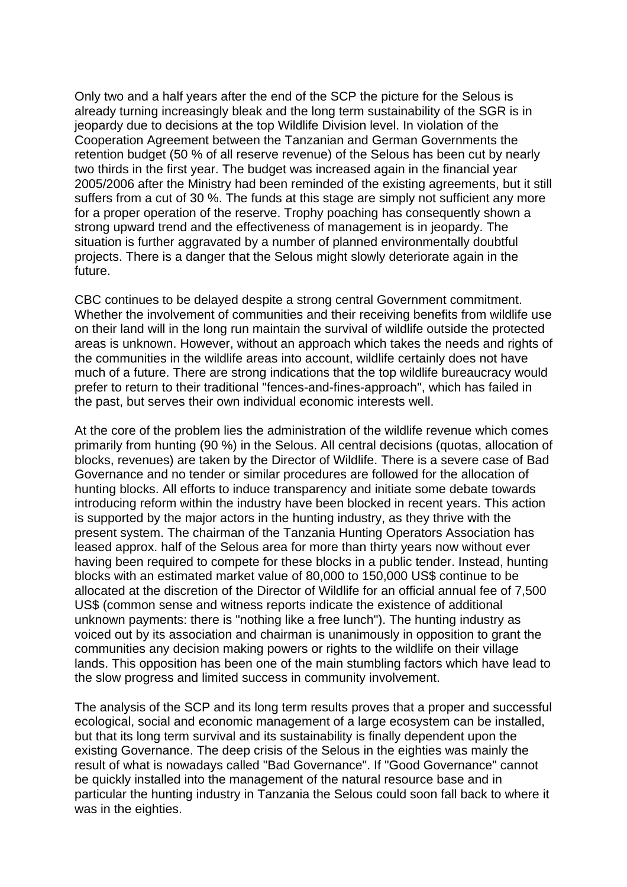Only two and a half years after the end of the SCP the picture for the Selous is already turning increasingly bleak and the long term sustainability of the SGR is in jeopardy due to decisions at the top Wildlife Division level. In violation of the Cooperation Agreement between the Tanzanian and German Governments the retention budget (50 % of all reserve revenue) of the Selous has been cut by nearly two thirds in the first year. The budget was increased again in the financial year 2005/2006 after the Ministry had been reminded of the existing agreements, but it still suffers from a cut of 30 %. The funds at this stage are simply not sufficient any more for a proper operation of the reserve. Trophy poaching has consequently shown a strong upward trend and the effectiveness of management is in jeopardy. The situation is further aggravated by a number of planned environmentally doubtful projects. There is a danger that the Selous might slowly deteriorate again in the future.

CBC continues to be delayed despite a strong central Government commitment. Whether the involvement of communities and their receiving benefits from wildlife use on their land will in the long run maintain the survival of wildlife outside the protected areas is unknown. However, without an approach which takes the needs and rights of the communities in the wildlife areas into account, wildlife certainly does not have much of a future. There are strong indications that the top wildlife bureaucracy would prefer to return to their traditional "fences-and-fines-approach", which has failed in the past, but serves their own individual economic interests well.

At the core of the problem lies the administration of the wildlife revenue which comes primarily from hunting (90 %) in the Selous. All central decisions (quotas, allocation of blocks, revenues) are taken by the Director of Wildlife. There is a severe case of Bad Governance and no tender or similar procedures are followed for the allocation of hunting blocks. All efforts to induce transparency and initiate some debate towards introducing reform within the industry have been blocked in recent years. This action is supported by the major actors in the hunting industry, as they thrive with the present system. The chairman of the Tanzania Hunting Operators Association has leased approx. half of the Selous area for more than thirty years now without ever having been required to compete for these blocks in a public tender. Instead, hunting blocks with an estimated market value of 80,000 to 150,000 US\$ continue to be allocated at the discretion of the Director of Wildlife for an official annual fee of 7,500 US\$ (common sense and witness reports indicate the existence of additional unknown payments: there is "nothing like a free lunch"). The hunting industry as voiced out by its association and chairman is unanimously in opposition to grant the communities any decision making powers or rights to the wildlife on their village lands. This opposition has been one of the main stumbling factors which have lead to the slow progress and limited success in community involvement.

The analysis of the SCP and its long term results proves that a proper and successful ecological, social and economic management of a large ecosystem can be installed, but that its long term survival and its sustainability is finally dependent upon the existing Governance. The deep crisis of the Selous in the eighties was mainly the result of what is nowadays called "Bad Governance". If "Good Governance" cannot be quickly installed into the management of the natural resource base and in particular the hunting industry in Tanzania the Selous could soon fall back to where it was in the eighties.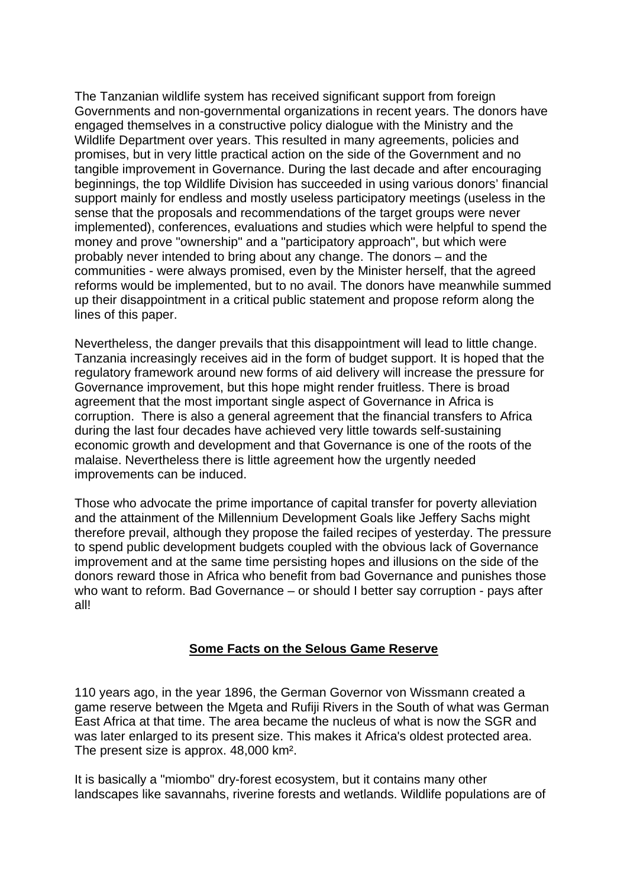The Tanzanian wildlife system has received significant support from foreign Governments and non-governmental organizations in recent years. The donors have engaged themselves in a constructive policy dialogue with the Ministry and the Wildlife Department over years. This resulted in many agreements, policies and promises, but in very little practical action on the side of the Government and no tangible improvement in Governance. During the last decade and after encouraging beginnings, the top Wildlife Division has succeeded in using various donors' financial support mainly for endless and mostly useless participatory meetings (useless in the sense that the proposals and recommendations of the target groups were never implemented), conferences, evaluations and studies which were helpful to spend the money and prove "ownership" and a "participatory approach", but which were probably never intended to bring about any change. The donors – and the communities - were always promised, even by the Minister herself, that the agreed reforms would be implemented, but to no avail. The donors have meanwhile summed up their disappointment in a critical public statement and propose reform along the lines of this paper.

Nevertheless, the danger prevails that this disappointment will lead to little change. Tanzania increasingly receives aid in the form of budget support. It is hoped that the regulatory framework around new forms of aid delivery will increase the pressure for Governance improvement, but this hope might render fruitless. There is broad agreement that the most important single aspect of Governance in Africa is corruption. There is also a general agreement that the financial transfers to Africa during the last four decades have achieved very little towards self-sustaining economic growth and development and that Governance is one of the roots of the malaise. Nevertheless there is little agreement how the urgently needed improvements can be induced.

Those who advocate the prime importance of capital transfer for poverty alleviation and the attainment of the Millennium Development Goals like Jeffery Sachs might therefore prevail, although they propose the failed recipes of yesterday. The pressure to spend public development budgets coupled with the obvious lack of Governance improvement and at the same time persisting hopes and illusions on the side of the donors reward those in Africa who benefit from bad Governance and punishes those who want to reform. Bad Governance – or should I better say corruption - pays after all!

### **Some Facts on the Selous Game Reserve**

110 years ago, in the year 1896, the German Governor von Wissmann created a game reserve between the Mgeta and Rufiji Rivers in the South of what was German East Africa at that time. The area became the nucleus of what is now the SGR and was later enlarged to its present size. This makes it Africa's oldest protected area. The present size is approx. 48,000 km².

It is basically a "miombo" dry-forest ecosystem, but it contains many other landscapes like savannahs, riverine forests and wetlands. Wildlife populations are of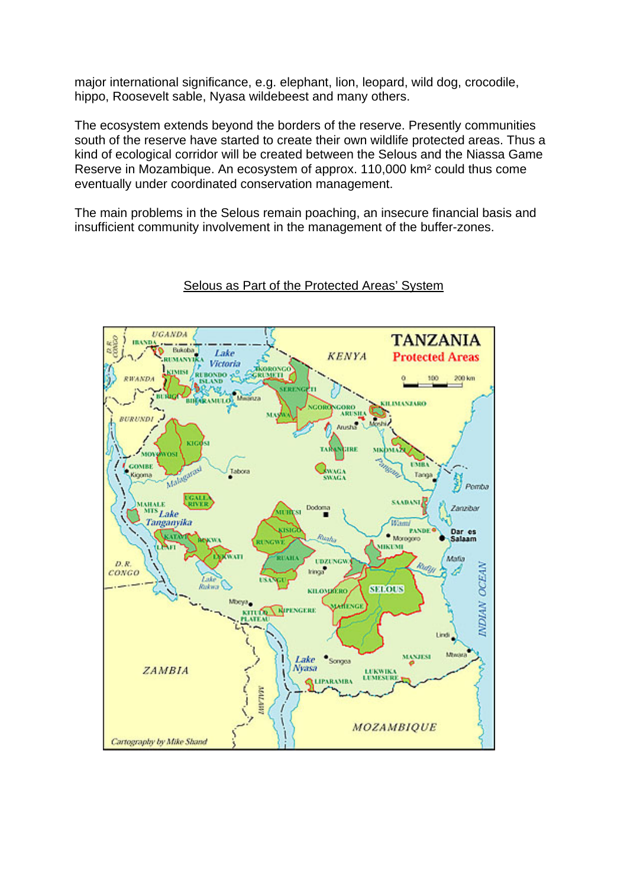major international significance, e.g. elephant, lion, leopard, wild dog, crocodile, hippo, Roosevelt sable, Nyasa wildebeest and many others.

The ecosystem extends beyond the borders of the reserve. Presently communities south of the reserve have started to create their own wildlife protected areas. Thus a kind of ecological corridor will be created between the Selous and the Niassa Game Reserve in Mozambique. An ecosystem of approx. 110,000 km² could thus come eventually under coordinated conservation management.

The main problems in the Selous remain poaching, an insecure financial basis and insufficient community involvement in the management of the buffer-zones.



## Selous as Part of the Protected Areas' System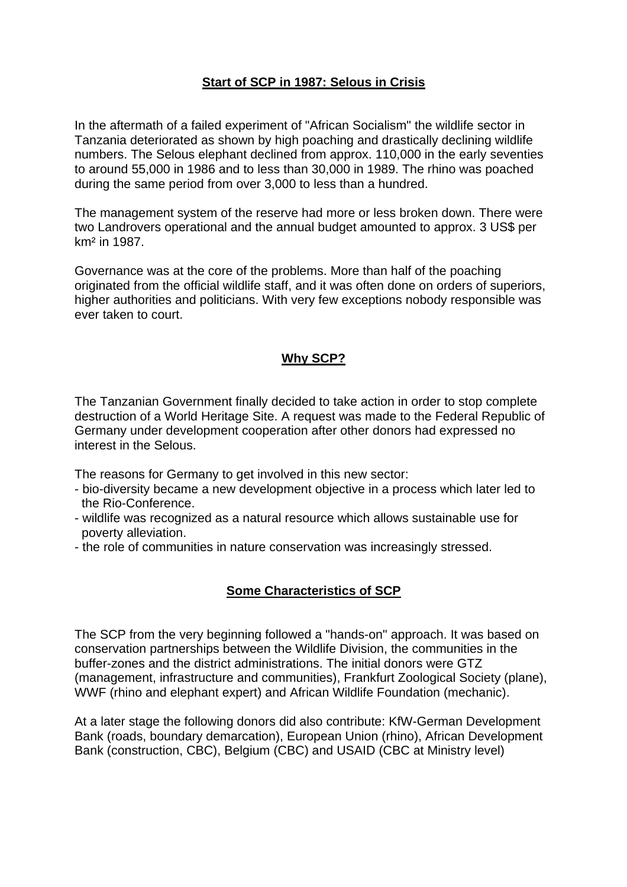## **Start of SCP in 1987: Selous in Crisis**

In the aftermath of a failed experiment of "African Socialism" the wildlife sector in Tanzania deteriorated as shown by high poaching and drastically declining wildlife numbers. The Selous elephant declined from approx. 110,000 in the early seventies to around 55,000 in 1986 and to less than 30,000 in 1989. The rhino was poached during the same period from over 3,000 to less than a hundred.

The management system of the reserve had more or less broken down. There were two Landrovers operational and the annual budget amounted to approx. 3 US\$ per km² in 1987.

Governance was at the core of the problems. More than half of the poaching originated from the official wildlife staff, and it was often done on orders of superiors, higher authorities and politicians. With very few exceptions nobody responsible was ever taken to court.

## **Why SCP?**

The Tanzanian Government finally decided to take action in order to stop complete destruction of a World Heritage Site. A request was made to the Federal Republic of Germany under development cooperation after other donors had expressed no interest in the Selous.

The reasons for Germany to get involved in this new sector:

- bio-diversity became a new development objective in a process which later led to the Rio-Conference.
- wildlife was recognized as a natural resource which allows sustainable use for poverty alleviation.
- the role of communities in nature conservation was increasingly stressed.

## **Some Characteristics of SCP**

The SCP from the very beginning followed a "hands-on" approach. It was based on conservation partnerships between the Wildlife Division, the communities in the buffer-zones and the district administrations. The initial donors were GTZ (management, infrastructure and communities), Frankfurt Zoological Society (plane), WWF (rhino and elephant expert) and African Wildlife Foundation (mechanic).

At a later stage the following donors did also contribute: KfW-German Development Bank (roads, boundary demarcation), European Union (rhino), African Development Bank (construction, CBC), Belgium (CBC) and USAID (CBC at Ministry level)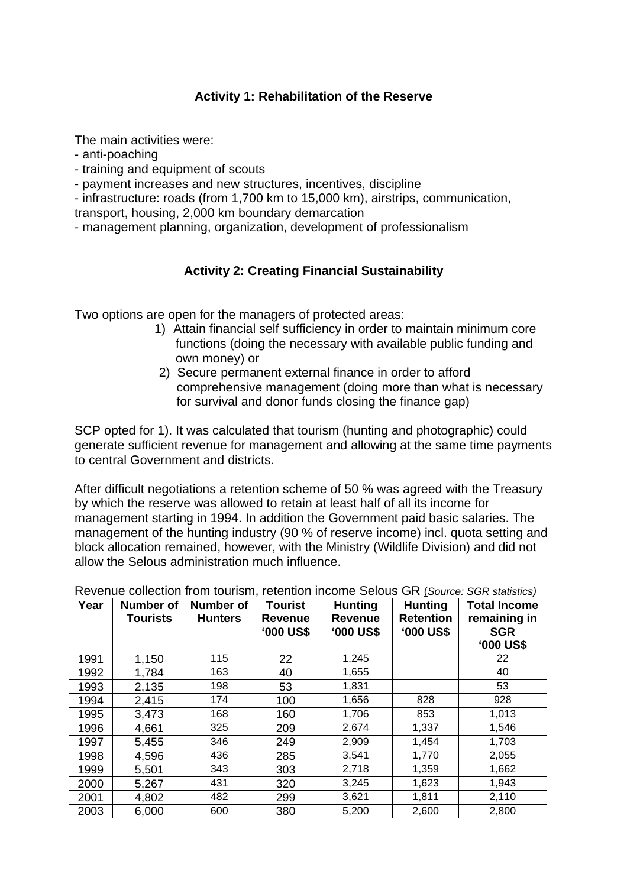## **Activity 1: Rehabilitation of the Reserve**

The main activities were:

- anti-poaching
- training and equipment of scouts
- payment increases and new structures, incentives, discipline

- infrastructure: roads (from 1,700 km to 15,000 km), airstrips, communication, transport, housing, 2,000 km boundary demarcation

- management planning, organization, development of professionalism

## **Activity 2: Creating Financial Sustainability**

Two options are open for the managers of protected areas:

- 1) Attain financial self sufficiency in order to maintain minimum core functions (doing the necessary with available public funding and own money) or
- 2) Secure permanent external finance in order to afford comprehensive management (doing more than what is necessary for survival and donor funds closing the finance gap)

SCP opted for 1). It was calculated that tourism (hunting and photographic) could generate sufficient revenue for management and allowing at the same time payments to central Government and districts.

After difficult negotiations a retention scheme of 50 % was agreed with the Treasury by which the reserve was allowed to retain at least half of all its income for management starting in 1994. In addition the Government paid basic salaries. The management of the hunting industry (90 % of reserve income) incl. quota setting and block allocation remained, however, with the Ministry (Wildlife Division) and did not allow the Selous administration much influence.

| Year | <b>Number of</b><br><b>Tourists</b> | <b>Number of</b><br><b>Hunters</b> | <b>Tourist</b><br><b>Revenue</b><br><b>'000 US\$</b> | <b>Hunting</b><br><b>Revenue</b><br><b>'000 US\$</b> | <b>Hunting</b><br><b>Retention</b><br><b>'000 US\$</b> | <b>Total Income</b><br>remaining in<br><b>SGR</b><br><b>'000 US\$</b> |
|------|-------------------------------------|------------------------------------|------------------------------------------------------|------------------------------------------------------|--------------------------------------------------------|-----------------------------------------------------------------------|
| 1991 | 1,150                               | 115                                | 22                                                   | 1,245                                                |                                                        | 22                                                                    |
| 1992 | 1,784                               | 163                                | 40                                                   | 1,655                                                |                                                        | 40                                                                    |
| 1993 | 2,135                               | 198                                | 53                                                   | 1,831                                                |                                                        | 53                                                                    |
| 1994 | 2,415                               | 174                                | 100                                                  | 1,656                                                | 828                                                    | 928                                                                   |
| 1995 | 3,473                               | 168                                | 160                                                  | 1,706                                                | 853                                                    | 1,013                                                                 |
| 1996 | 4,661                               | 325                                | 209                                                  | 2,674                                                | 1,337                                                  | 1,546                                                                 |
| 1997 | 5,455                               | 346                                | 249                                                  | 2,909                                                | 1,454                                                  | 1,703                                                                 |
| 1998 | 4,596                               | 436                                | 285                                                  | 3,541                                                | 1,770                                                  | 2,055                                                                 |
| 1999 | 5,501                               | 343                                | 303                                                  | 2,718                                                | 1,359                                                  | 1,662                                                                 |
| 2000 | 5,267                               | 431                                | 320                                                  | 3,245                                                | 1,623                                                  | 1,943                                                                 |
| 2001 | 4,802                               | 482                                | 299                                                  | 3,621                                                | 1,811                                                  | 2,110                                                                 |
| 2003 | 6,000                               | 600                                | 380                                                  | 5,200                                                | 2,600                                                  | 2,800                                                                 |

Revenue collection from tourism, retention income Selous GR (*Source: SGR statistics)*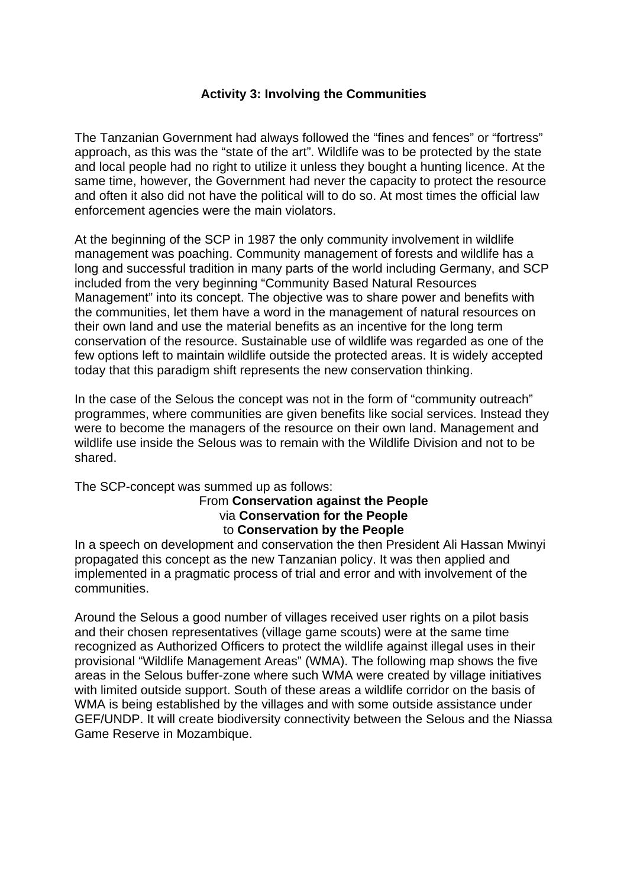## **Activity 3: Involving the Communities**

The Tanzanian Government had always followed the "fines and fences" or "fortress" approach, as this was the "state of the art". Wildlife was to be protected by the state and local people had no right to utilize it unless they bought a hunting licence. At the same time, however, the Government had never the capacity to protect the resource and often it also did not have the political will to do so. At most times the official law enforcement agencies were the main violators.

At the beginning of the SCP in 1987 the only community involvement in wildlife management was poaching. Community management of forests and wildlife has a long and successful tradition in many parts of the world including Germany, and SCP included from the very beginning "Community Based Natural Resources Management" into its concept. The objective was to share power and benefits with the communities, let them have a word in the management of natural resources on their own land and use the material benefits as an incentive for the long term conservation of the resource. Sustainable use of wildlife was regarded as one of the few options left to maintain wildlife outside the protected areas. It is widely accepted today that this paradigm shift represents the new conservation thinking.

In the case of the Selous the concept was not in the form of "community outreach" programmes, where communities are given benefits like social services. Instead they were to become the managers of the resource on their own land. Management and wildlife use inside the Selous was to remain with the Wildlife Division and not to be shared.

# The SCP-concept was summed up as follows: From **Conservation against the People**  via **Conservation for the People**  to **Conservation by the People**

In a speech on development and conservation the then President Ali Hassan Mwinyi propagated this concept as the new Tanzanian policy. It was then applied and implemented in a pragmatic process of trial and error and with involvement of the communities.

Around the Selous a good number of villages received user rights on a pilot basis and their chosen representatives (village game scouts) were at the same time recognized as Authorized Officers to protect the wildlife against illegal uses in their provisional "Wildlife Management Areas" (WMA). The following map shows the five areas in the Selous buffer-zone where such WMA were created by village initiatives with limited outside support. South of these areas a wildlife corridor on the basis of WMA is being established by the villages and with some outside assistance under GEF/UNDP. It will create biodiversity connectivity between the Selous and the Niassa Game Reserve in Mozambique.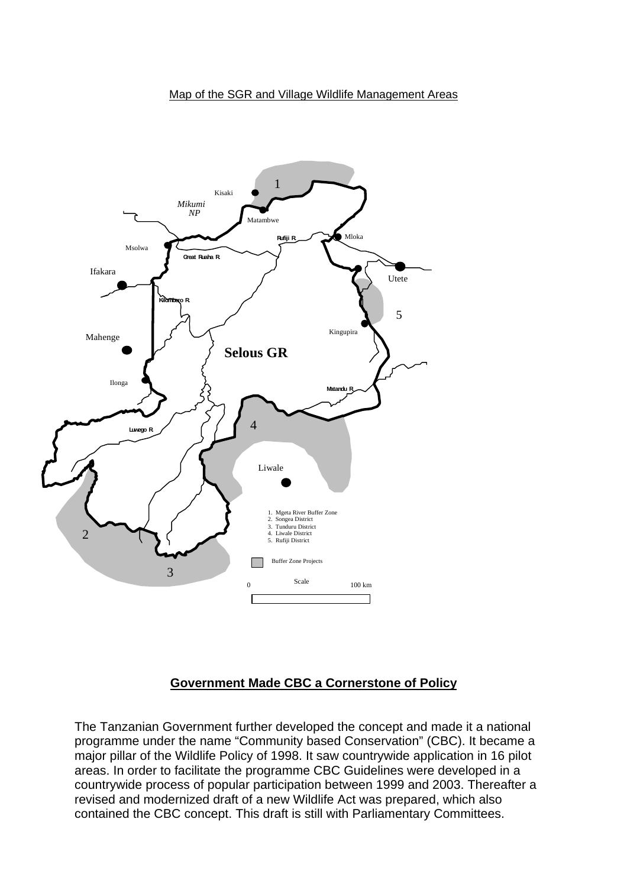#### Map of the SGR and Village Wildlife Management Areas



### **Government Made CBC a Cornerstone of Policy**

The Tanzanian Government further developed the concept and made it a national programme under the name "Community based Conservation" (CBC). It became a major pillar of the Wildlife Policy of 1998. It saw countrywide application in 16 pilot areas. In order to facilitate the programme CBC Guidelines were developed in a countrywide process of popular participation between 1999 and 2003. Thereafter a revised and modernized draft of a new Wildlife Act was prepared, which also contained the CBC concept. This draft is still with Parliamentary Committees.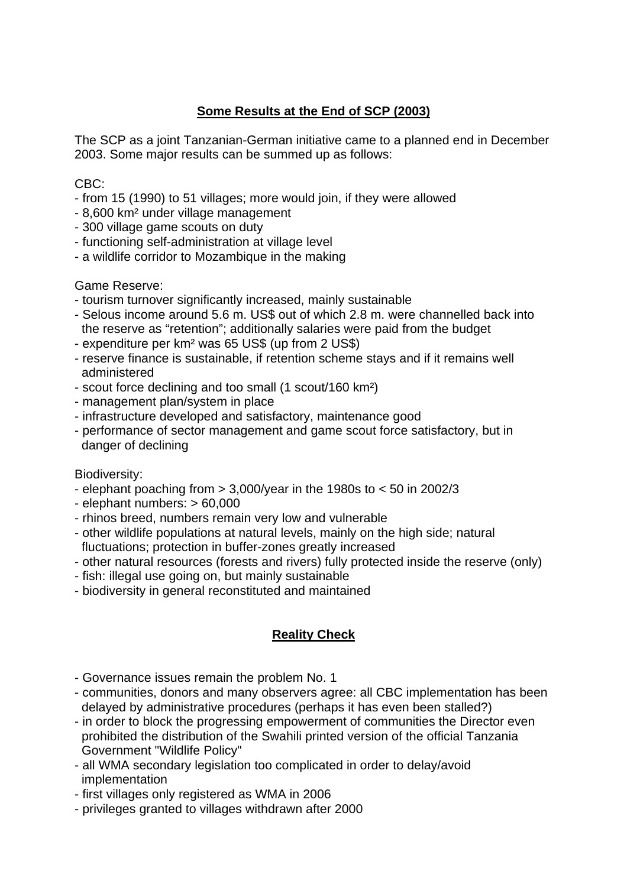## **Some Results at the End of SCP (2003)**

The SCP as a joint Tanzanian-German initiative came to a planned end in December 2003. Some major results can be summed up as follows:

## CBC:

- from 15 (1990) to 51 villages; more would join, if they were allowed
- 8,600 km² under village management
- 300 village game scouts on duty
- functioning self-administration at village level
- a wildlife corridor to Mozambique in the making

### Game Reserve:

- tourism turnover significantly increased, mainly sustainable
- Selous income around 5.6 m. US\$ out of which 2.8 m. were channelled back into the reserve as "retention"; additionally salaries were paid from the budget
- expenditure per km² was 65 US\$ (up from 2 US\$)
- reserve finance is sustainable, if retention scheme stays and if it remains well administered
- scout force declining and too small (1 scout/160 km²)
- management plan/system in place
- infrastructure developed and satisfactory, maintenance good
- performance of sector management and game scout force satisfactory, but in danger of declining

### Biodiversity:

- elephant poaching from  $> 3,000$ /year in the 1980s to  $< 50$  in 2002/3
- elephant numbers: > 60,000
- rhinos breed, numbers remain very low and vulnerable
- other wildlife populations at natural levels, mainly on the high side; natural fluctuations; protection in buffer-zones greatly increased
- other natural resources (forests and rivers) fully protected inside the reserve (only)
- fish: illegal use going on, but mainly sustainable
- biodiversity in general reconstituted and maintained

## **Reality Check**

- Governance issues remain the problem No. 1
- communities, donors and many observers agree: all CBC implementation has been delayed by administrative procedures (perhaps it has even been stalled?)
- in order to block the progressing empowerment of communities the Director even prohibited the distribution of the Swahili printed version of the official Tanzania Government "Wildlife Policy"
- all WMA secondary legislation too complicated in order to delay/avoid implementation
- first villages only registered as WMA in 2006
- privileges granted to villages withdrawn after 2000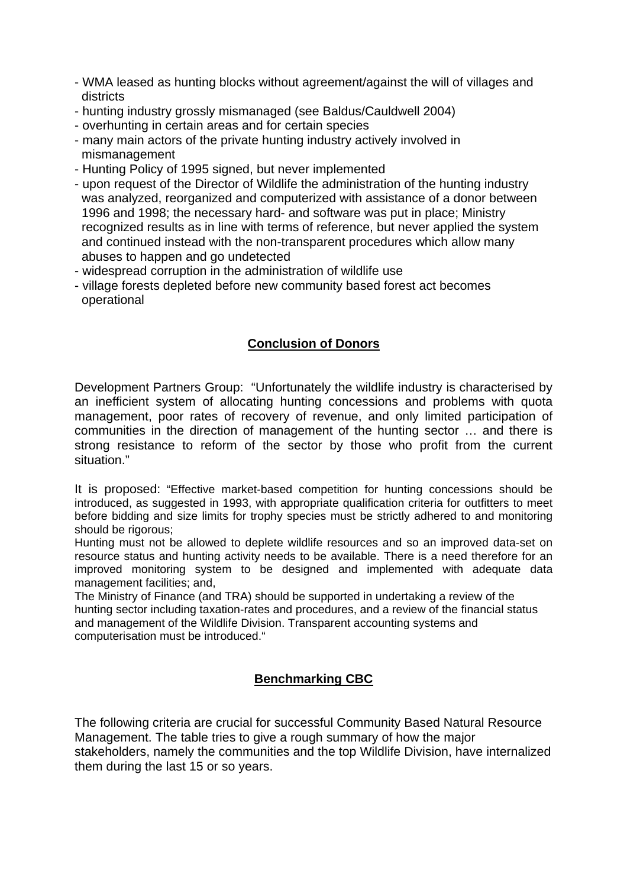- WMA leased as hunting blocks without agreement/against the will of villages and districts
- hunting industry grossly mismanaged (see Baldus/Cauldwell 2004)
- overhunting in certain areas and for certain species
- many main actors of the private hunting industry actively involved in mismanagement
- Hunting Policy of 1995 signed, but never implemented
- upon request of the Director of Wildlife the administration of the hunting industry was analyzed, reorganized and computerized with assistance of a donor between 1996 and 1998; the necessary hard- and software was put in place; Ministry recognized results as in line with terms of reference, but never applied the system and continued instead with the non-transparent procedures which allow many abuses to happen and go undetected
- widespread corruption in the administration of wildlife use
- village forests depleted before new community based forest act becomes operational

## **Conclusion of Donors**

Development Partners Group: "Unfortunately the wildlife industry is characterised by an inefficient system of allocating hunting concessions and problems with quota management, poor rates of recovery of revenue, and only limited participation of communities in the direction of management of the hunting sector … and there is strong resistance to reform of the sector by those who profit from the current situation."

It is proposed: "Effective market-based competition for hunting concessions should be introduced, as suggested in 1993, with appropriate qualification criteria for outfitters to meet before bidding and size limits for trophy species must be strictly adhered to and monitoring should be rigorous;

Hunting must not be allowed to deplete wildlife resources and so an improved data-set on resource status and hunting activity needs to be available. There is a need therefore for an improved monitoring system to be designed and implemented with adequate data management facilities; and,

The Ministry of Finance (and TRA) should be supported in undertaking a review of the hunting sector including taxation-rates and procedures, and a review of the financial status and management of the Wildlife Division. Transparent accounting systems and computerisation must be introduced."

## **Benchmarking CBC**

The following criteria are crucial for successful Community Based Natural Resource Management. The table tries to give a rough summary of how the major stakeholders, namely the communities and the top Wildlife Division, have internalized them during the last 15 or so years.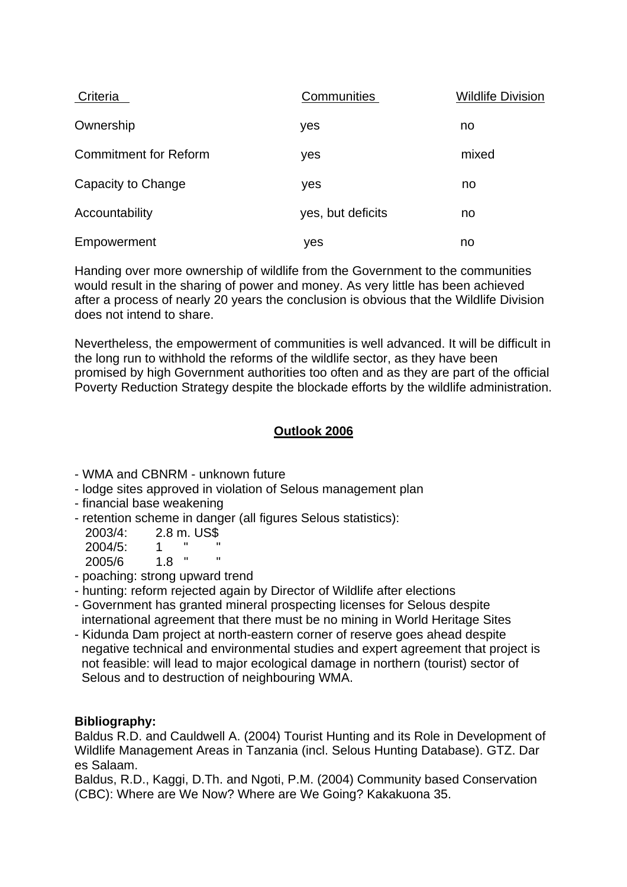| <b>Criteria</b>              | <b>Communities</b> | <b>Wildlife Division</b> |
|------------------------------|--------------------|--------------------------|
| Ownership                    | yes                | no                       |
| <b>Commitment for Reform</b> | yes                | mixed                    |
| Capacity to Change           | yes                | no                       |
| Accountability               | yes, but deficits  | no                       |
| Empowerment                  | yes                | no                       |

Handing over more ownership of wildlife from the Government to the communities would result in the sharing of power and money. As very little has been achieved after a process of nearly 20 years the conclusion is obvious that the Wildlife Division does not intend to share.

Nevertheless, the empowerment of communities is well advanced. It will be difficult in the long run to withhold the reforms of the wildlife sector, as they have been promised by high Government authorities too often and as they are part of the official Poverty Reduction Strategy despite the blockade efforts by the wildlife administration.

## **Outlook 2006**

- WMA and CBNRM unknown future
- lodge sites approved in violation of Selous management plan
- financial base weakening
- retention scheme in danger (all figures Selous statistics):

| 2003/4: |     | 2.8 m. US\$ |   |
|---------|-----|-------------|---|
| 2004/5: | 1.  |             | " |
| 2005/6  | 1.8 |             | " |

- poaching: strong upward trend
- hunting: reform rejected again by Director of Wildlife after elections
- Government has granted mineral prospecting licenses for Selous despite international agreement that there must be no mining in World Heritage Sites
- Kidunda Dam project at north-eastern corner of reserve goes ahead despite negative technical and environmental studies and expert agreement that project is not feasible: will lead to major ecological damage in northern (tourist) sector of Selous and to destruction of neighbouring WMA.

### **Bibliography:**

Baldus R.D. and Cauldwell A. (2004) Tourist Hunting and its Role in Development of Wildlife Management Areas in Tanzania (incl. Selous Hunting Database). GTZ. Dar es Salaam.

Baldus, R.D., Kaggi, D.Th. and Ngoti, P.M. (2004) Community based Conservation (CBC): Where are We Now? Where are We Going? Kakakuona 35.